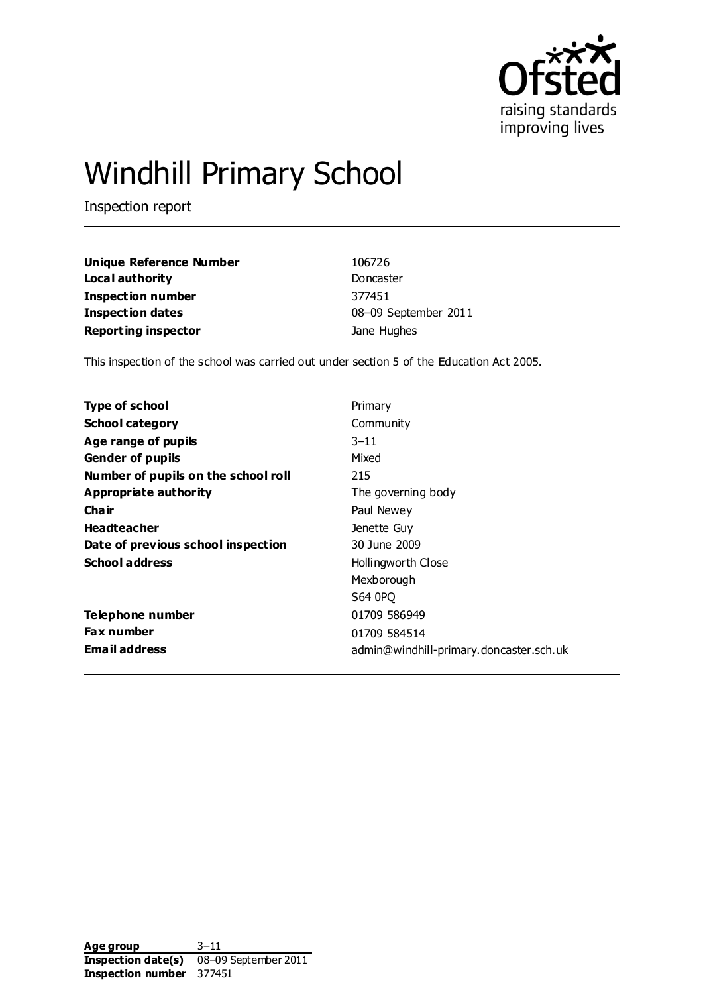

# Windhill Primary School

Inspection report

| Unique Reference Number    | 106726               |
|----------------------------|----------------------|
| Local authority            | Doncaster            |
| Inspection number          | 377451               |
| <b>Inspection dates</b>    | 08-09 September 2011 |
| <b>Reporting inspector</b> | Jane Hughes          |

This inspection of the school was carried out under section 5 of the Education Act 2005.

| Type of school                      | Primary                                 |
|-------------------------------------|-----------------------------------------|
| <b>School category</b>              | Community                               |
| Age range of pupils                 | $3 - 11$                                |
| <b>Gender of pupils</b>             | Mixed                                   |
| Number of pupils on the school roll | 215                                     |
| Appropriate authority               | The governing body                      |
| Cha ir                              | Paul Newey                              |
| <b>Headteacher</b>                  | Jenette Guy                             |
| Date of previous school inspection  | 30 June 2009                            |
| <b>School address</b>               | Hollingworth Close                      |
|                                     | Mexborough                              |
|                                     | S64 0PQ                                 |
| Telephone number                    | 01709 586949                            |
| <b>Fax number</b>                   | 01709 584514                            |
| <b>Email address</b>                | admin@windhill-primary.doncaster.sch.uk |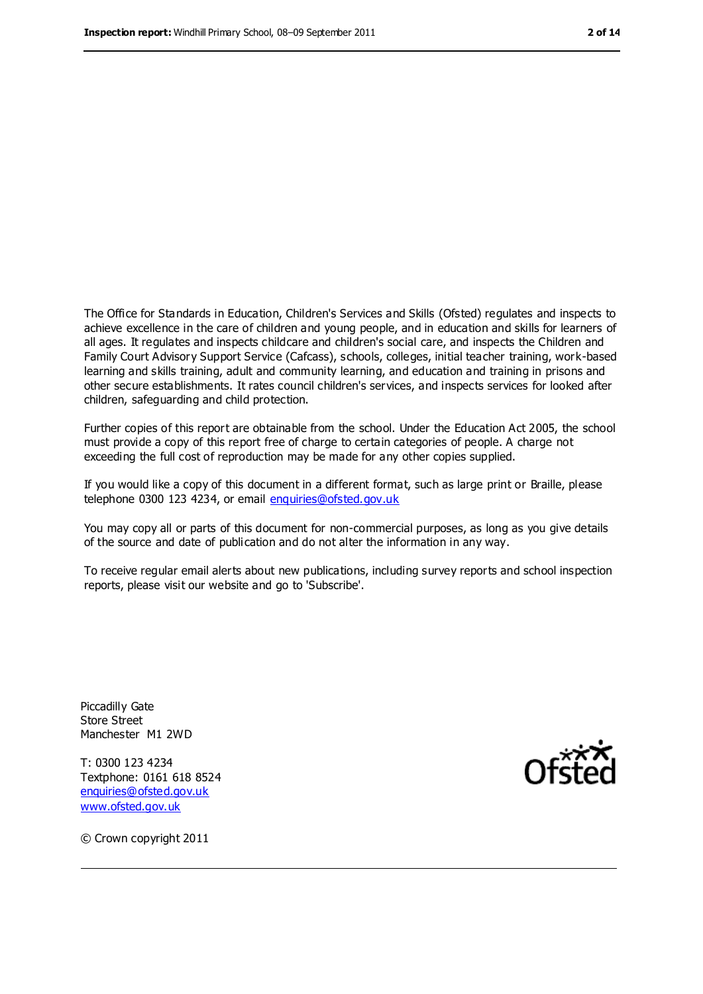The Office for Standards in Education, Children's Services and Skills (Ofsted) regulates and inspects to achieve excellence in the care of children and young people, and in education and skills for learners of all ages. It regulates and inspects childcare and children's social care, and inspects the Children and Family Court Advisory Support Service (Cafcass), schools, colleges, initial teacher training, work-based learning and skills training, adult and community learning, and education and training in prisons and other secure establishments. It rates council children's services, and inspects services for looked after children, safeguarding and child protection.

Further copies of this report are obtainable from the school. Under the Education Act 2005, the school must provide a copy of this report free of charge to certain categories of people. A charge not exceeding the full cost of reproduction may be made for any other copies supplied.

If you would like a copy of this document in a different format, such as large print or Braille, please telephone 0300 123 4234, or email [enquiries@ofsted.gov.uk](mailto:enquiries@ofsted.gov.uk)

You may copy all or parts of this document for non-commercial purposes, as long as you give details of the source and date of publication and do not alter the information in any way.

To receive regular email alerts about new publications, including survey reports and school inspection reports, please visit our website and go to 'Subscribe'.

Piccadilly Gate Store Street Manchester M1 2WD

T: 0300 123 4234 Textphone: 0161 618 8524 [enquiries@ofsted.gov.uk](mailto:enquiries@ofsted.gov.uk) [www.ofsted.gov.uk](http://www.ofsted.gov.uk/)



© Crown copyright 2011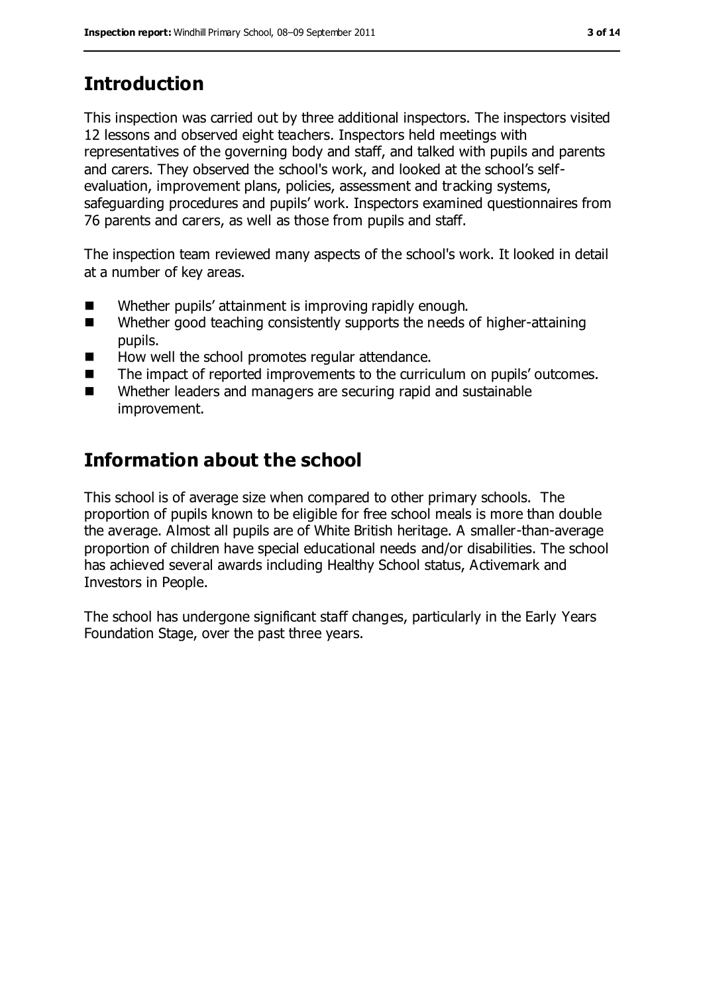# **Introduction**

This inspection was carried out by three additional inspectors. The inspectors visited 12 lessons and observed eight teachers. Inspectors held meetings with representatives of the governing body and staff, and talked with pupils and parents and carers. They observed the school's work, and looked at the school's selfevaluation, improvement plans, policies, assessment and tracking systems, safeguarding procedures and pupils' work. Inspectors examined questionnaires from 76 parents and carers, as well as those from pupils and staff.

The inspection team reviewed many aspects of the school's work. It looked in detail at a number of key areas.

- Whether pupils' attainment is improving rapidly enough.
- Whether good teaching consistently supports the needs of higher-attaining pupils.
- $\blacksquare$  How well the school promotes regular attendance.
- The impact of reported improvements to the curriculum on pupils' outcomes.
- Whether leaders and managers are securing rapid and sustainable improvement.

# **Information about the school**

This school is of average size when compared to other primary schools. The proportion of pupils known to be eligible for free school meals is more than double the average. Almost all pupils are of White British heritage. A smaller-than-average proportion of children have special educational needs and/or disabilities. The school has achieved several awards including Healthy School status, Activemark and Investors in People.

The school has undergone significant staff changes, particularly in the Early Years Foundation Stage, over the past three years.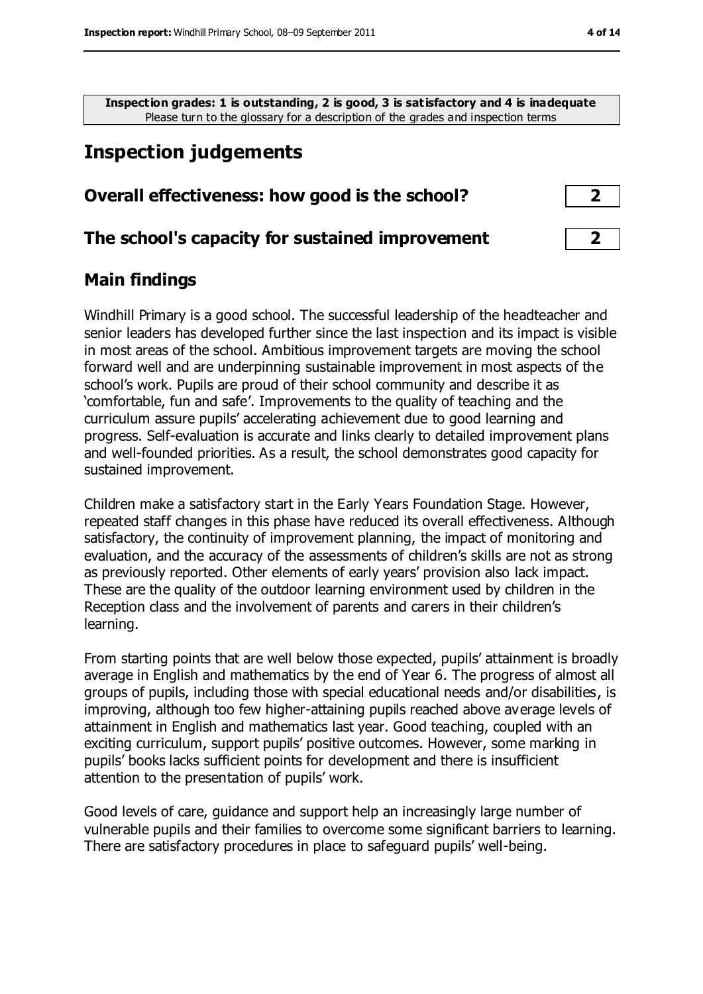**Inspection grades: 1 is outstanding, 2 is good, 3 is satisfactory and 4 is inadequate** Please turn to the glossary for a description of the grades and inspection terms

## **Inspection judgements**

#### **Overall effectiveness: how good is the school? 2**

#### **The school's capacity for sustained improvement 2**

#### **Main findings**

Windhill Primary is a good school. The successful leadership of the headteacher and senior leaders has developed further since the last inspection and its impact is visible in most areas of the school. Ambitious improvement targets are moving the school forward well and are underpinning sustainable improvement in most aspects of the school's work. Pupils are proud of their school community and describe it as 'comfortable, fun and safe'. Improvements to the quality of teaching and the curriculum assure pupils' accelerating achievement due to good learning and progress. Self-evaluation is accurate and links clearly to detailed improvement plans and well-founded priorities. As a result, the school demonstrates good capacity for sustained improvement.

Children make a satisfactory start in the Early Years Foundation Stage. However, repeated staff changes in this phase have reduced its overall effectiveness. Although satisfactory, the continuity of improvement planning, the impact of monitoring and evaluation, and the accuracy of the assessments of children's skills are not as strong as previously reported. Other elements of early years' provision also lack impact. These are the quality of the outdoor learning environment used by children in the Reception class and the involvement of parents and carers in their children's learning.

From starting points that are well below those expected, pupils' attainment is broadly average in English and mathematics by the end of Year 6. The progress of almost all groups of pupils, including those with special educational needs and/or disabilities, is improving, although too few higher-attaining pupils reached above average levels of attainment in English and mathematics last year. Good teaching, coupled with an exciting curriculum, support pupils' positive outcomes. However, some marking in pupils' books lacks sufficient points for development and there is insufficient attention to the presentation of pupils' work.

Good levels of care, guidance and support help an increasingly large number of vulnerable pupils and their families to overcome some significant barriers to learning. There are satisfactory procedures in place to safeguard pupils' well-being.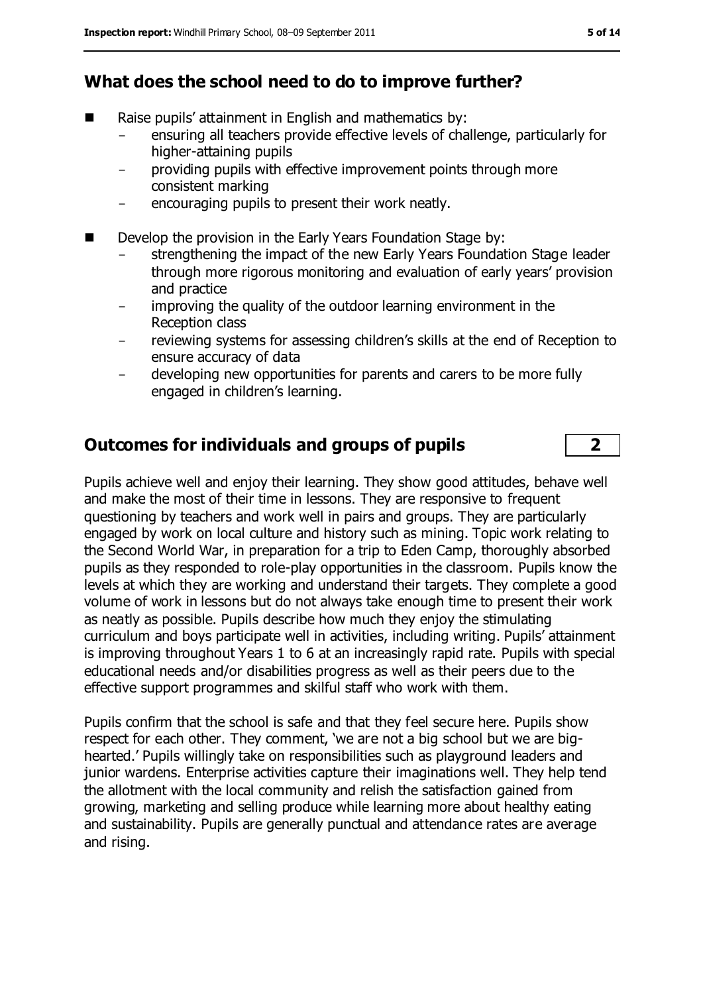#### **What does the school need to do to improve further?**

- Raise pupils' attainment in English and mathematics by:
	- ensuring all teachers provide effective levels of challenge, particularly for higher-attaining pupils
	- providing pupils with effective improvement points through more consistent marking
	- encouraging pupils to present their work neatly.
- Develop the provision in the Early Years Foundation Stage by:
	- strengthening the impact of the new Early Years Foundation Stage leader through more rigorous monitoring and evaluation of early years' provision and practice
	- improving the quality of the outdoor learning environment in the Reception class
	- reviewing systems for assessing children's skills at the end of Reception to ensure accuracy of data
	- developing new opportunities for parents and carers to be more fully engaged in children's learning.

#### **Outcomes for individuals and groups of pupils 2**

Pupils achieve well and enjoy their learning. They show good attitudes, behave well and make the most of their time in lessons. They are responsive to frequent questioning by teachers and work well in pairs and groups. They are particularly engaged by work on local culture and history such as mining. Topic work relating to the Second World War, in preparation for a trip to Eden Camp, thoroughly absorbed pupils as they responded to role-play opportunities in the classroom. Pupils know the levels at which they are working and understand their targets. They complete a good volume of work in lessons but do not always take enough time to present their work as neatly as possible. Pupils describe how much they enjoy the stimulating curriculum and boys participate well in activities, including writing. Pupils' attainment is improving throughout Years 1 to 6 at an increasingly rapid rate. Pupils with special educational needs and/or disabilities progress as well as their peers due to the effective support programmes and skilful staff who work with them.

Pupils confirm that the school is safe and that they feel secure here. Pupils show respect for each other. They comment, 'we are not a big school but we are bighearted.' Pupils willingly take on responsibilities such as playground leaders and junior wardens. Enterprise activities capture their imaginations well. They help tend the allotment with the local community and relish the satisfaction gained from growing, marketing and selling produce while learning more about healthy eating and sustainability. Pupils are generally punctual and attendance rates are average and rising.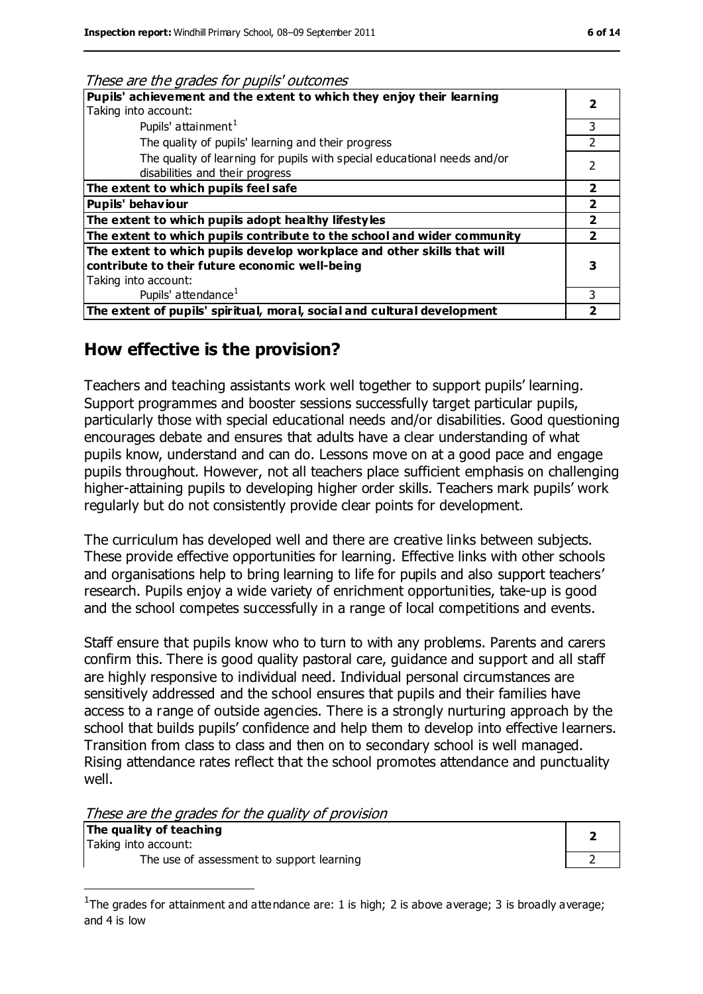| Pupils' achievement and the extent to which they enjoy their learning<br>Taking into account:<br>Pupils' attainment <sup>1</sup><br>The quality of pupils' learning and their progress<br>The quality of learning for pupils with special educational needs and/or<br>disabilities and their progress<br>The extent to which pupils feel safe<br>Pupils' behaviour<br>The extent to which pupils adopt healthy lifestyles<br>The extent to which pupils contribute to the school and wider community<br>The extent to which pupils develop workplace and other skills that will<br>contribute to their future economic well-being<br>Taking into account:<br>Pupils' attendance <sup>1</sup> | These are the grades for pupils outcomes |               |
|----------------------------------------------------------------------------------------------------------------------------------------------------------------------------------------------------------------------------------------------------------------------------------------------------------------------------------------------------------------------------------------------------------------------------------------------------------------------------------------------------------------------------------------------------------------------------------------------------------------------------------------------------------------------------------------------|------------------------------------------|---------------|
|                                                                                                                                                                                                                                                                                                                                                                                                                                                                                                                                                                                                                                                                                              |                                          |               |
|                                                                                                                                                                                                                                                                                                                                                                                                                                                                                                                                                                                                                                                                                              |                                          |               |
|                                                                                                                                                                                                                                                                                                                                                                                                                                                                                                                                                                                                                                                                                              |                                          | 3             |
|                                                                                                                                                                                                                                                                                                                                                                                                                                                                                                                                                                                                                                                                                              |                                          | $\mathcal{P}$ |
|                                                                                                                                                                                                                                                                                                                                                                                                                                                                                                                                                                                                                                                                                              |                                          | 2             |
|                                                                                                                                                                                                                                                                                                                                                                                                                                                                                                                                                                                                                                                                                              |                                          |               |
|                                                                                                                                                                                                                                                                                                                                                                                                                                                                                                                                                                                                                                                                                              |                                          | 2             |
|                                                                                                                                                                                                                                                                                                                                                                                                                                                                                                                                                                                                                                                                                              |                                          |               |
|                                                                                                                                                                                                                                                                                                                                                                                                                                                                                                                                                                                                                                                                                              |                                          |               |
|                                                                                                                                                                                                                                                                                                                                                                                                                                                                                                                                                                                                                                                                                              |                                          |               |
|                                                                                                                                                                                                                                                                                                                                                                                                                                                                                                                                                                                                                                                                                              |                                          |               |
|                                                                                                                                                                                                                                                                                                                                                                                                                                                                                                                                                                                                                                                                                              |                                          |               |
|                                                                                                                                                                                                                                                                                                                                                                                                                                                                                                                                                                                                                                                                                              |                                          |               |
|                                                                                                                                                                                                                                                                                                                                                                                                                                                                                                                                                                                                                                                                                              |                                          | 3             |
| The extent of pupils' spiritual, moral, social and cultural development                                                                                                                                                                                                                                                                                                                                                                                                                                                                                                                                                                                                                      |                                          |               |

#### These are the grades for pupils' outcomes

#### **How effective is the provision?**

Teachers and teaching assistants work well together to support pupils' learning. Support programmes and booster sessions successfully target particular pupils, particularly those with special educational needs and/or disabilities. Good questioning encourages debate and ensures that adults have a clear understanding of what pupils know, understand and can do. Lessons move on at a good pace and engage pupils throughout. However, not all teachers place sufficient emphasis on challenging higher-attaining pupils to developing higher order skills. Teachers mark pupils' work regularly but do not consistently provide clear points for development.

The curriculum has developed well and there are creative links between subjects. These provide effective opportunities for learning. Effective links with other schools and organisations help to bring learning to life for pupils and also support teachers' research. Pupils enjoy a wide variety of enrichment opportunities, take-up is good and the school competes successfully in a range of local competitions and events.

Staff ensure that pupils know who to turn to with any problems. Parents and carers confirm this. There is good quality pastoral care, guidance and support and all staff are highly responsive to individual need. Individual personal circumstances are sensitively addressed and the school ensures that pupils and their families have access to a range of outside agencies. There is a strongly nurturing approach by the school that builds pupils' confidence and help them to develop into effective learners. Transition from class to class and then on to secondary school is well managed. Rising attendance rates reflect that the school promotes attendance and punctuality well.

These are the grades for the quality of provision

| The quality of teaching |  |
|-------------------------|--|
| Taking into account:    |  |

 $\overline{a}$ 

The use of assessment to support learning

| " |  |
|---|--|
| , |  |

<sup>&</sup>lt;sup>1</sup>The grades for attainment and attendance are: 1 is high; 2 is above average; 3 is broadly average; and 4 is low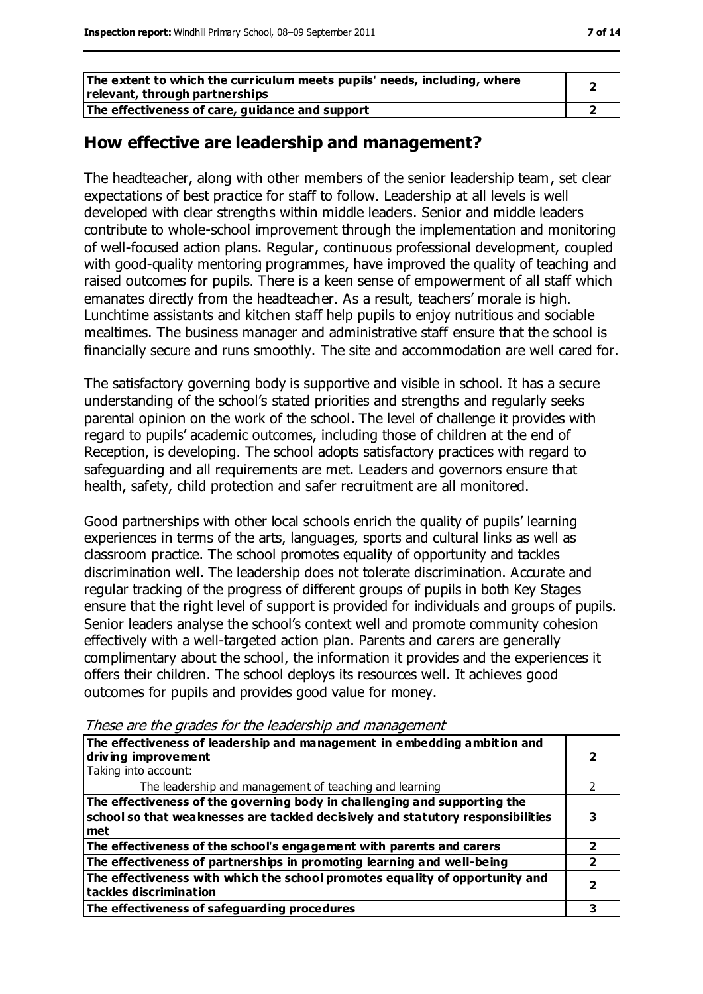| The extent to which the curriculum meets pupils' needs, including, where<br>relevant, through partnerships |  |
|------------------------------------------------------------------------------------------------------------|--|
| The effectiveness of care, guidance and support                                                            |  |

#### **How effective are leadership and management?**

The headteacher, along with other members of the senior leadership team, set clear expectations of best practice for staff to follow. Leadership at all levels is well developed with clear strengths within middle leaders. Senior and middle leaders contribute to whole-school improvement through the implementation and monitoring of well-focused action plans. Regular, continuous professional development, coupled with good-quality mentoring programmes, have improved the quality of teaching and raised outcomes for pupils. There is a keen sense of empowerment of all staff which emanates directly from the headteacher. As a result, teachers' morale is high. Lunchtime assistants and kitchen staff help pupils to enjoy nutritious and sociable mealtimes. The business manager and administrative staff ensure that the school is financially secure and runs smoothly. The site and accommodation are well cared for.

The satisfactory governing body is supportive and visible in school. It has a secure understanding of the school's stated priorities and strengths and regularly seeks parental opinion on the work of the school. The level of challenge it provides with regard to pupils' academic outcomes, including those of children at the end of Reception, is developing. The school adopts satisfactory practices with regard to safeguarding and all requirements are met. Leaders and governors ensure that health, safety, child protection and safer recruitment are all monitored.

Good partnerships with other local schools enrich the quality of pupils' learning experiences in terms of the arts, languages, sports and cultural links as well as classroom practice. The school promotes equality of opportunity and tackles discrimination well. The leadership does not tolerate discrimination. Accurate and regular tracking of the progress of different groups of pupils in both Key Stages ensure that the right level of support is provided for individuals and groups of pupils. Senior leaders analyse the school's context well and promote community cohesion effectively with a well-targeted action plan. Parents and carers are generally complimentary about the school, the information it provides and the experiences it offers their children. The school deploys its resources well. It achieves good outcomes for pupils and provides good value for money.

| The effectiveness of leadership and management in embedding ambition and<br>driving improvement                                                                     |  |
|---------------------------------------------------------------------------------------------------------------------------------------------------------------------|--|
| Taking into account:                                                                                                                                                |  |
| The leadership and management of teaching and learning                                                                                                              |  |
| The effectiveness of the governing body in challenging and supporting the<br>school so that weaknesses are tackled decisively and statutory responsibilities<br>met |  |
| The effectiveness of the school's engagement with parents and carers                                                                                                |  |
| The effectiveness of partnerships in promoting learning and well-being                                                                                              |  |
| The effectiveness with which the school promotes equality of opportunity and<br>tackles discrimination                                                              |  |
| The effectiveness of safeguarding procedures                                                                                                                        |  |

These are the grades for the leadership and management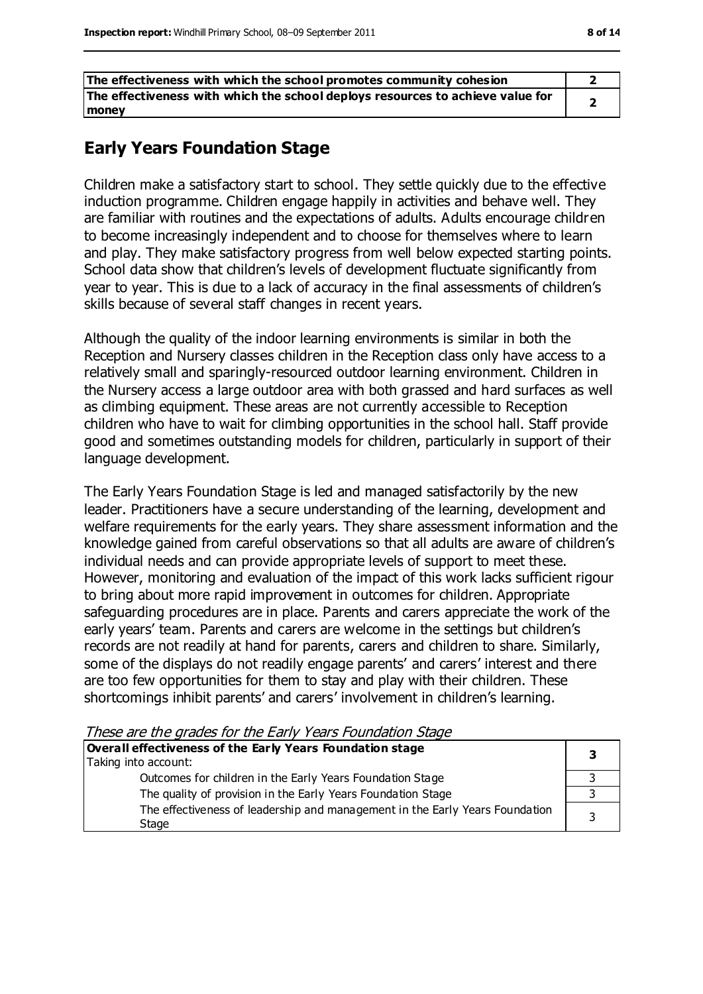| The effectiveness with which the school promotes community cohesion            |  |
|--------------------------------------------------------------------------------|--|
| The effectiveness with which the school deploys resources to achieve value for |  |
| <b>money</b>                                                                   |  |

### **Early Years Foundation Stage**

Children make a satisfactory start to school. They settle quickly due to the effective induction programme. Children engage happily in activities and behave well. They are familiar with routines and the expectations of adults. Adults encourage children to become increasingly independent and to choose for themselves where to learn and play. They make satisfactory progress from well below expected starting points. School data show that children's levels of development fluctuate significantly from year to year. This is due to a lack of accuracy in the final assessments of children's skills because of several staff changes in recent years.

Although the quality of the indoor learning environments is similar in both the Reception and Nursery classes children in the Reception class only have access to a relatively small and sparingly-resourced outdoor learning environment. Children in the Nursery access a large outdoor area with both grassed and hard surfaces as well as climbing equipment. These areas are not currently accessible to Reception children who have to wait for climbing opportunities in the school hall. Staff provide good and sometimes outstanding models for children, particularly in support of their language development.

The Early Years Foundation Stage is led and managed satisfactorily by the new leader. Practitioners have a secure understanding of the learning, development and welfare requirements for the early years. They share assessment information and the knowledge gained from careful observations so that all adults are aware of children's individual needs and can provide appropriate levels of support to meet these. However, monitoring and evaluation of the impact of this work lacks sufficient rigour to bring about more rapid improvement in outcomes for children. Appropriate safeguarding procedures are in place. Parents and carers appreciate the work of the early years' team. Parents and carers are welcome in the settings but children's records are not readily at hand for parents, carers and children to share. Similarly, some of the displays do not readily engage parents' and carers' interest and there are too few opportunities for them to stay and play with their children. These shortcomings inhibit parents' and carers' involvement in children's learning.

These are the grades for the Early Years Foundation Stage

| Overall effectiveness of the Early Years Foundation stage                             |  |
|---------------------------------------------------------------------------------------|--|
| Taking into account:                                                                  |  |
| Outcomes for children in the Early Years Foundation Stage                             |  |
| The quality of provision in the Early Years Foundation Stage                          |  |
| The effectiveness of leadership and management in the Early Years Foundation<br>Stage |  |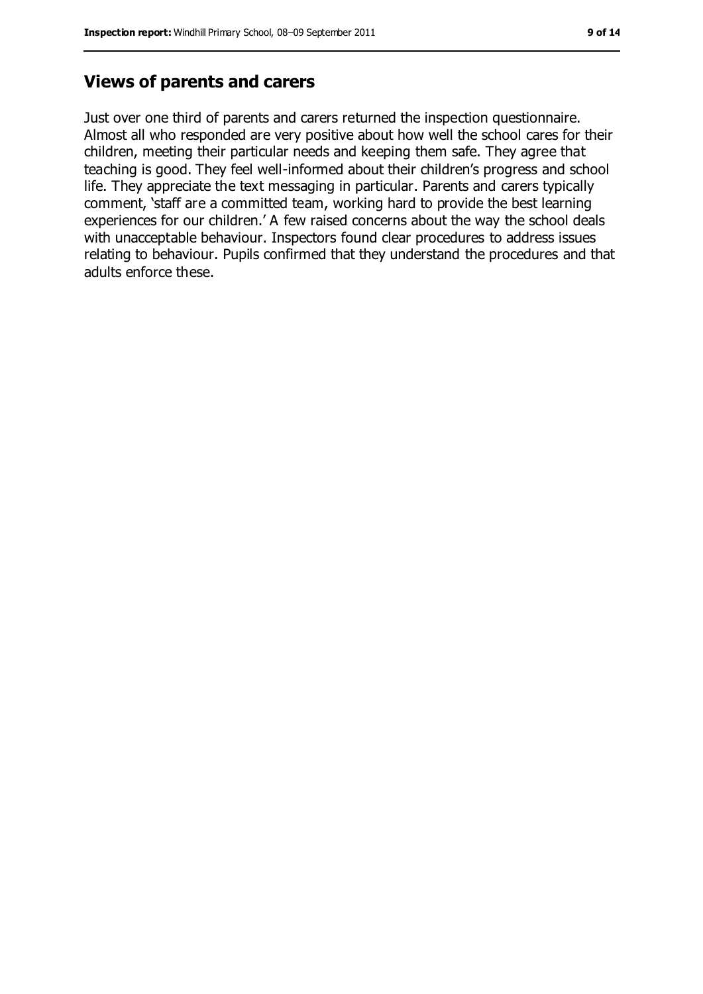#### **Views of parents and carers**

Just over one third of parents and carers returned the inspection questionnaire. Almost all who responded are very positive about how well the school cares for their children, meeting their particular needs and keeping them safe. They agree that teaching is good. They feel well-informed about their children's progress and school life. They appreciate the text messaging in particular. Parents and carers typically comment, 'staff are a committed team, working hard to provide the best learning experiences for our children.' A few raised concerns about the way the school deals with unacceptable behaviour. Inspectors found clear procedures to address issues relating to behaviour. Pupils confirmed that they understand the procedures and that adults enforce these.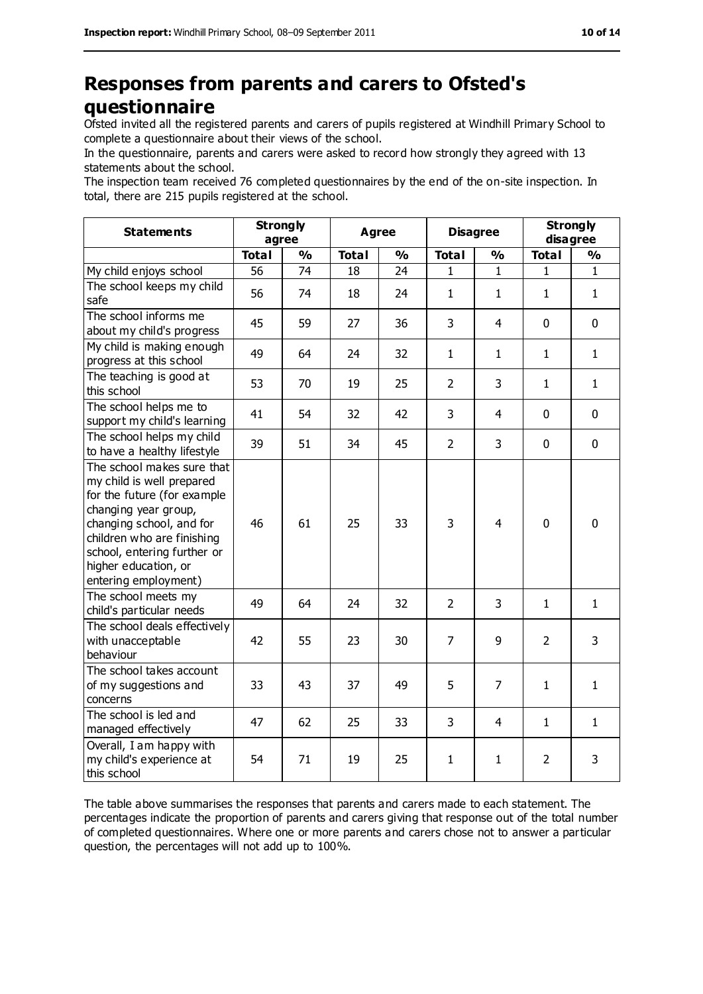## **Responses from parents and carers to Ofsted's questionnaire**

Ofsted invited all the registered parents and carers of pupils registered at Windhill Primary School to complete a questionnaire about their views of the school.

In the questionnaire, parents and carers were asked to record how strongly they agreed with 13 statements about the school.

The inspection team received 76 completed questionnaires by the end of the on-site inspection. In total, there are 215 pupils registered at the school.

| <b>Statements</b>                                                                                                                                                                                                                                       | <b>Strongly</b><br>agree |               | <b>Agree</b> |               |                | <b>Disagree</b> |                | <b>Strongly</b><br>disagree |
|---------------------------------------------------------------------------------------------------------------------------------------------------------------------------------------------------------------------------------------------------------|--------------------------|---------------|--------------|---------------|----------------|-----------------|----------------|-----------------------------|
|                                                                                                                                                                                                                                                         | <b>Total</b>             | $\frac{9}{6}$ | <b>Total</b> | $\frac{1}{2}$ | <b>Total</b>   | $\frac{1}{2}$   | <b>Total</b>   | $\frac{9}{6}$               |
| My child enjoys school                                                                                                                                                                                                                                  | 56                       | 74            | 18           | 24            | 1              | 1               | 1              | 1                           |
| The school keeps my child<br>safe                                                                                                                                                                                                                       | 56                       | 74            | 18           | 24            | $\mathbf{1}$   | $\mathbf{1}$    | $\mathbf{1}$   | $\mathbf{1}$                |
| The school informs me<br>about my child's progress                                                                                                                                                                                                      | 45                       | 59            | 27           | 36            | 3              | $\overline{4}$  | $\mathbf 0$    | $\mathbf 0$                 |
| My child is making enough<br>progress at this school                                                                                                                                                                                                    | 49                       | 64            | 24           | 32            | $\mathbf{1}$   | $\mathbf{1}$    | $\mathbf{1}$   | $\mathbf{1}$                |
| The teaching is good at<br>this school                                                                                                                                                                                                                  | 53                       | 70            | 19           | 25            | $\overline{2}$ | 3               | $\mathbf{1}$   | $\mathbf{1}$                |
| The school helps me to<br>support my child's learning                                                                                                                                                                                                   | 41                       | 54            | 32           | 42            | 3              | 4               | $\mathbf 0$    | $\mathbf 0$                 |
| The school helps my child<br>to have a healthy lifestyle                                                                                                                                                                                                | 39                       | 51            | 34           | 45            | $\overline{2}$ | 3               | $\mathbf 0$    | $\mathbf 0$                 |
| The school makes sure that<br>my child is well prepared<br>for the future (for example<br>changing year group,<br>changing school, and for<br>children who are finishing<br>school, entering further or<br>higher education, or<br>entering employment) | 46                       | 61            | 25           | 33            | 3              | 4               | $\mathbf 0$    | $\mathbf 0$                 |
| The school meets my<br>child's particular needs                                                                                                                                                                                                         | 49                       | 64            | 24           | 32            | $\overline{2}$ | 3               | $\mathbf{1}$   | $\mathbf{1}$                |
| The school deals effectively<br>with unacceptable<br>behaviour                                                                                                                                                                                          | 42                       | 55            | 23           | 30            | $\overline{7}$ | 9               | $\overline{2}$ | 3                           |
| The school takes account<br>of my suggestions and<br>concerns                                                                                                                                                                                           | 33                       | 43            | 37           | 49            | 5              | $\overline{7}$  | $\mathbf{1}$   | $\mathbf{1}$                |
| The school is led and<br>managed effectively                                                                                                                                                                                                            | 47                       | 62            | 25           | 33            | 3              | 4               | $\mathbf{1}$   | $\mathbf{1}$                |
| Overall, I am happy with<br>my child's experience at<br>this school                                                                                                                                                                                     | 54                       | 71            | 19           | 25            | $\mathbf{1}$   | $\mathbf{1}$    | $\overline{2}$ | 3                           |

The table above summarises the responses that parents and carers made to each statement. The percentages indicate the proportion of parents and carers giving that response out of the total number of completed questionnaires. Where one or more parents and carers chose not to answer a particular question, the percentages will not add up to 100%.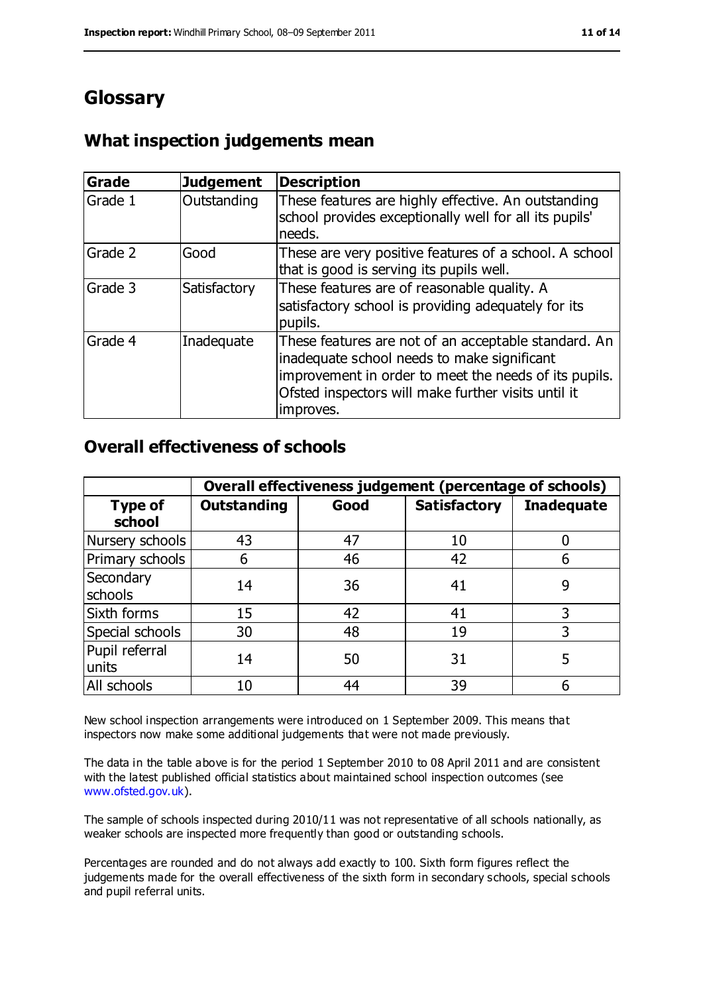## **Glossary**

#### **What inspection judgements mean**

| <b>Grade</b> | <b>Judgement</b> | <b>Description</b>                                                                                                                                                                                                               |
|--------------|------------------|----------------------------------------------------------------------------------------------------------------------------------------------------------------------------------------------------------------------------------|
| Grade 1      | Outstanding      | These features are highly effective. An outstanding<br>school provides exceptionally well for all its pupils'<br>needs.                                                                                                          |
| Grade 2      | Good             | These are very positive features of a school. A school<br>that is good is serving its pupils well.                                                                                                                               |
| Grade 3      | Satisfactory     | These features are of reasonable quality. A<br>satisfactory school is providing adequately for its<br>pupils.                                                                                                                    |
| Grade 4      | Inadequate       | These features are not of an acceptable standard. An<br>inadequate school needs to make significant<br>improvement in order to meet the needs of its pupils.<br>Ofsted inspectors will make further visits until it<br>improves. |

#### **Overall effectiveness of schools**

|                          | Overall effectiveness judgement (percentage of schools) |      |                     |                   |  |
|--------------------------|---------------------------------------------------------|------|---------------------|-------------------|--|
| <b>Type of</b><br>school | <b>Outstanding</b>                                      | Good | <b>Satisfactory</b> | <b>Inadequate</b> |  |
| Nursery schools          | 43                                                      | 47   | 10                  |                   |  |
| Primary schools          | 6                                                       | 46   | 42                  |                   |  |
| Secondary<br>schools     | 14                                                      | 36   | 41                  | 9                 |  |
| Sixth forms              | 15                                                      | 42   | 41                  | 3                 |  |
| Special schools          | 30                                                      | 48   | 19                  | 3                 |  |
| Pupil referral<br>units  | 14                                                      | 50   | 31                  | 5                 |  |
| All schools              | 10                                                      | 44   | 39                  |                   |  |

New school inspection arrangements were introduced on 1 September 2009. This means that inspectors now make some additional judgements that were not made previously.

The data in the table above is for the period 1 September 2010 to 08 April 2011 and are consistent with the latest published official statistics about maintained school inspection outcomes (see [www.ofsted.gov.uk\)](http://www.ofsted.gov.uk/).

The sample of schools inspected during 2010/11 was not representative of all schools nationally, as weaker schools are inspected more frequently than good or outstanding schools.

Percentages are rounded and do not always add exactly to 100. Sixth form figures reflect the judgements made for the overall effectiveness of the sixth form in secondary schools, special schools and pupil referral units.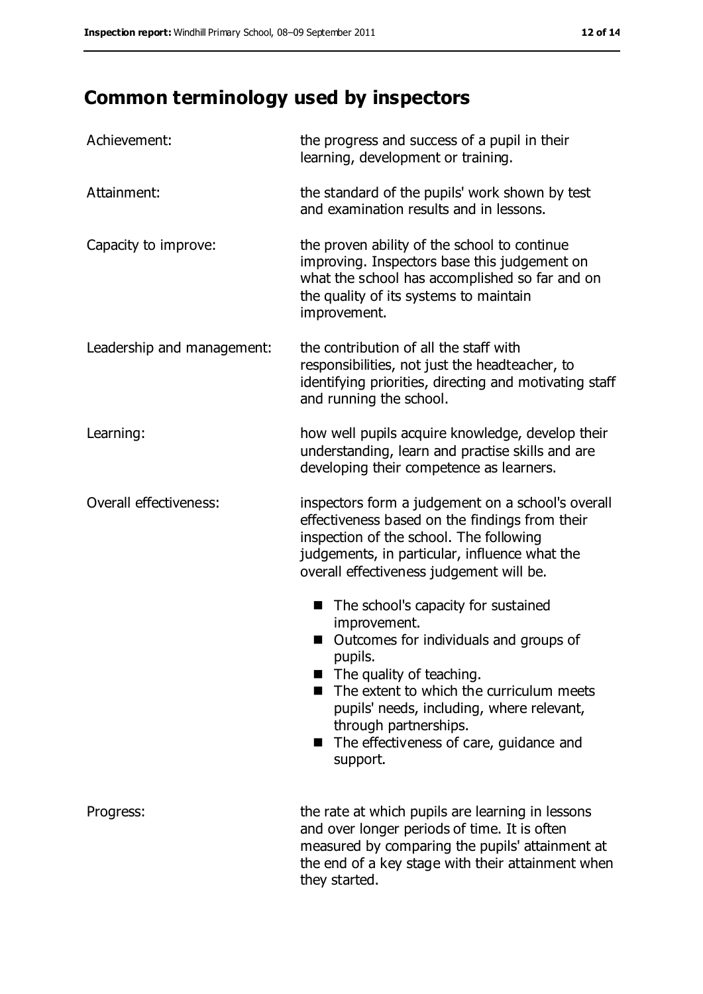# **Common terminology used by inspectors**

| Achievement:               | the progress and success of a pupil in their<br>learning, development or training.                                                                                                                                                                                                                                   |
|----------------------------|----------------------------------------------------------------------------------------------------------------------------------------------------------------------------------------------------------------------------------------------------------------------------------------------------------------------|
| Attainment:                | the standard of the pupils' work shown by test<br>and examination results and in lessons.                                                                                                                                                                                                                            |
| Capacity to improve:       | the proven ability of the school to continue<br>improving. Inspectors base this judgement on<br>what the school has accomplished so far and on<br>the quality of its systems to maintain<br>improvement.                                                                                                             |
| Leadership and management: | the contribution of all the staff with<br>responsibilities, not just the headteacher, to<br>identifying priorities, directing and motivating staff<br>and running the school.                                                                                                                                        |
| Learning:                  | how well pupils acquire knowledge, develop their<br>understanding, learn and practise skills and are<br>developing their competence as learners.                                                                                                                                                                     |
| Overall effectiveness:     | inspectors form a judgement on a school's overall<br>effectiveness based on the findings from their<br>inspection of the school. The following<br>judgements, in particular, influence what the<br>overall effectiveness judgement will be.                                                                          |
|                            | The school's capacity for sustained<br>■<br>improvement.<br>Outcomes for individuals and groups of<br>pupils.<br>The quality of teaching.<br>The extent to which the curriculum meets<br>pupils' needs, including, where relevant,<br>through partnerships.<br>■ The effectiveness of care, guidance and<br>support. |
| Progress:                  | the rate at which pupils are learning in lessons<br>and over longer periods of time. It is often<br>measured by comparing the pupils' attainment at<br>the end of a key stage with their attainment when<br>they started.                                                                                            |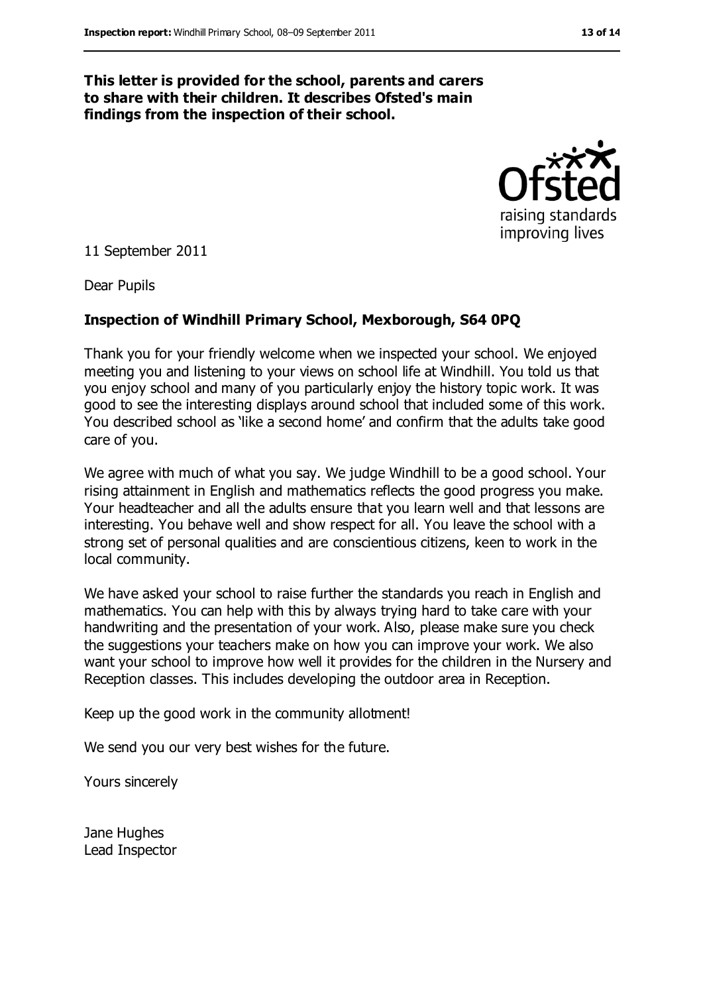#### **This letter is provided for the school, parents and carers to share with their children. It describes Ofsted's main findings from the inspection of their school.**

raising standards improving lives

11 September 2011

Dear Pupils

#### **Inspection of Windhill Primary School, Mexborough, S64 0PQ**

Thank you for your friendly welcome when we inspected your school. We enjoyed meeting you and listening to your views on school life at Windhill. You told us that you enjoy school and many of you particularly enjoy the history topic work. It was good to see the interesting displays around school that included some of this work. You described school as 'like a second home' and confirm that the adults take good care of you.

We agree with much of what you say. We judge Windhill to be a good school. Your rising attainment in English and mathematics reflects the good progress you make. Your headteacher and all the adults ensure that you learn well and that lessons are interesting. You behave well and show respect for all. You leave the school with a strong set of personal qualities and are conscientious citizens, keen to work in the local community.

We have asked your school to raise further the standards you reach in English and mathematics. You can help with this by always trying hard to take care with your handwriting and the presentation of your work. Also, please make sure you check the suggestions your teachers make on how you can improve your work. We also want your school to improve how well it provides for the children in the Nursery and Reception classes. This includes developing the outdoor area in Reception.

Keep up the good work in the community allotment!

We send you our very best wishes for the future.

Yours sincerely

Jane Hughes Lead Inspector